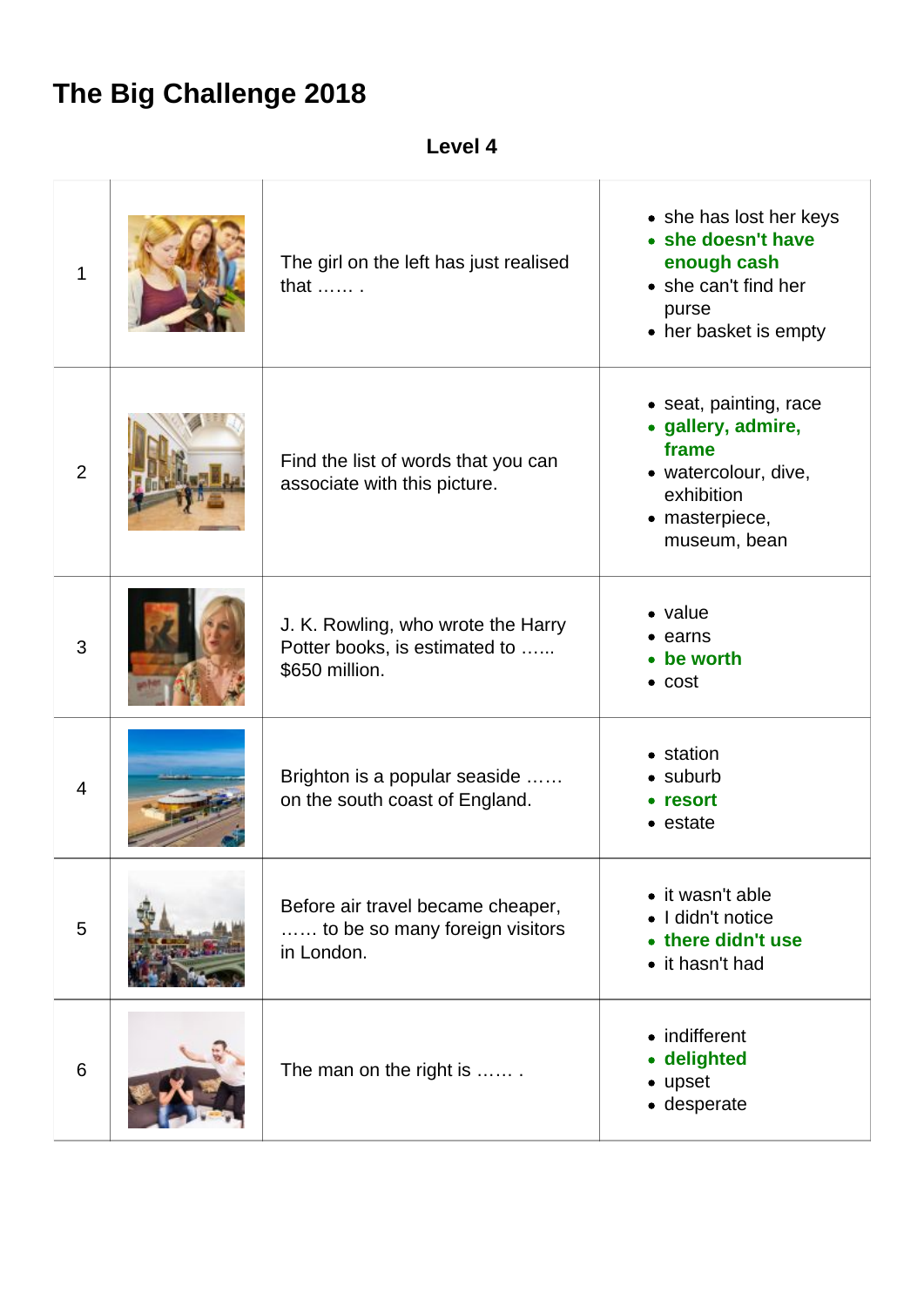## **The Big Challenge 2018**

| eve.<br>۱L | л |
|------------|---|
|------------|---|

| 1              | The girl on the left has just realised<br>that  .                                     | • she has lost her keys<br>• she doesn't have<br>enough cash<br>• she can't find her<br>purse<br>• her basket is empty        |
|----------------|---------------------------------------------------------------------------------------|-------------------------------------------------------------------------------------------------------------------------------|
| $\overline{2}$ | Find the list of words that you can<br>associate with this picture.                   | • seat, painting, race<br>· gallery, admire,<br>frame<br>• watercolour, dive,<br>exhibition<br>• masterpiece,<br>museum, bean |
| 3              | J. K. Rowling, who wrote the Harry<br>Potter books, is estimated to<br>\$650 million. | • value<br>• earns<br>• be worth<br>$\bullet$ cost                                                                            |
| 4              | Brighton is a popular seaside<br>on the south coast of England.                       | • station<br>$\bullet$ suburb<br>• resort<br>• estate                                                                         |
| 5              | Before air travel became cheaper,<br>to be so many foreign visitors<br>in London.     | • it wasn't able<br>I didn't notice<br>there didn't use<br>• it hasn't had                                                    |
| 6              | The man on the right is                                                               | • indifferent<br>• delighted<br>• upset<br>• desperate                                                                        |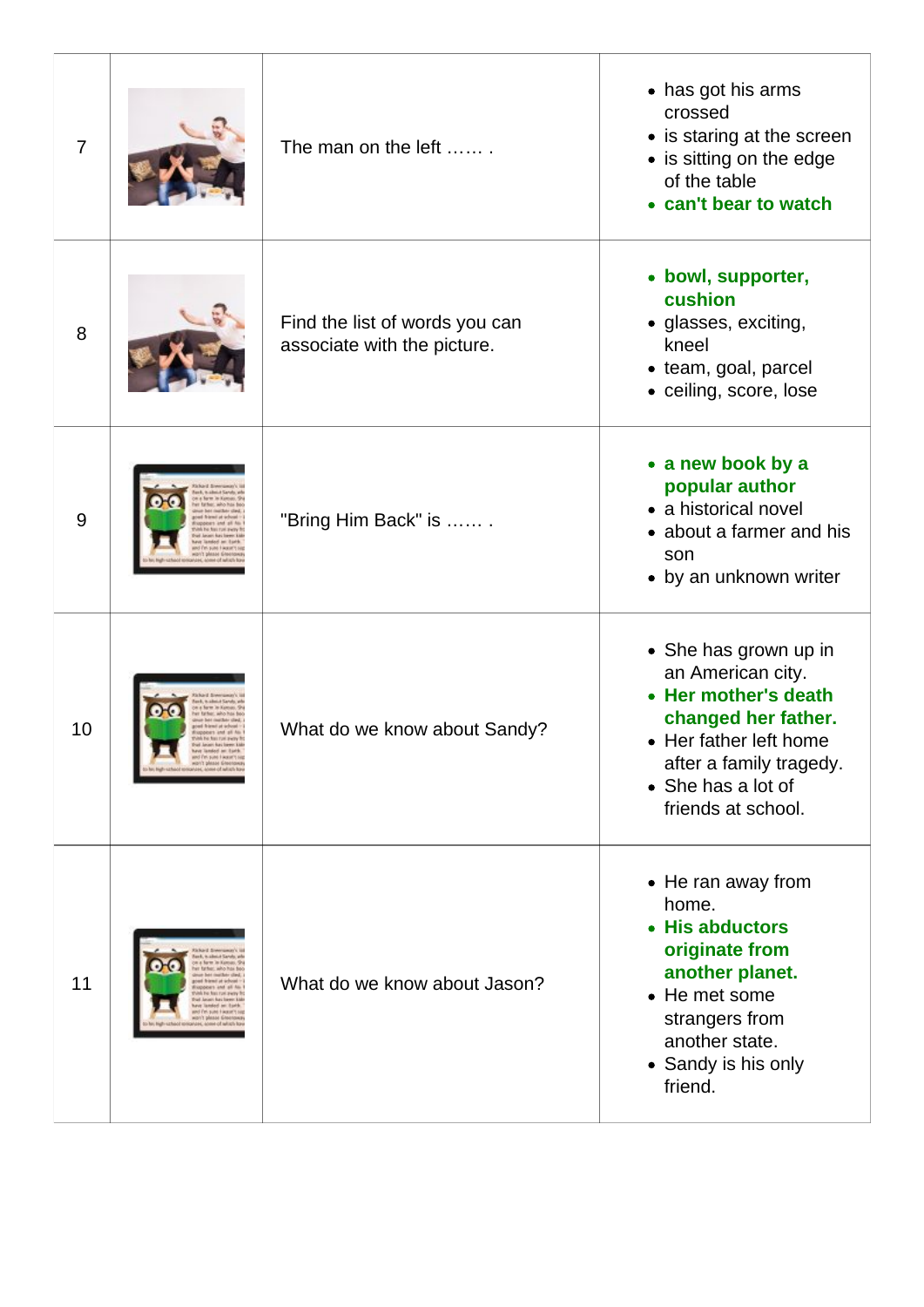| $\overline{7}$ |                                                                                    | The man on the left                                           | • has got his arms<br>crossed<br>• is staring at the screen<br>• is sitting on the edge<br>of the table<br>• can't bear to watch                                                           |
|----------------|------------------------------------------------------------------------------------|---------------------------------------------------------------|--------------------------------------------------------------------------------------------------------------------------------------------------------------------------------------------|
| 8              |                                                                                    | Find the list of words you can<br>associate with the picture. | • bowl, supporter,<br>cushion<br>· glasses, exciting,<br>kneel<br>• team, goal, parcel<br>· ceiling, score, lose                                                                           |
| 9              |                                                                                    | "Bring Him Back" is                                           | • a new book by a<br>popular author<br>• a historical novel<br>• about a farmer and his<br>son<br>• by an unknown writer                                                                   |
| 10             | and Pet suns Facear's a<br>Hibri's please Gheen<br>shed long/dec some of which for | What do we know about Sandy?                                  | • She has grown up in<br>an American city.<br>• Her mother's death<br>changed her father.<br>• Her father left home<br>after a family tragedy.<br>• She has a lot of<br>friends at school. |
| 11             | <b>MAINS FIVE</b>                                                                  | What do we know about Jason?                                  | • He ran away from<br>home.<br>• His abductors<br>originate from<br>another planet.<br>• He met some<br>strangers from<br>another state.<br>• Sandy is his only<br>friend.                 |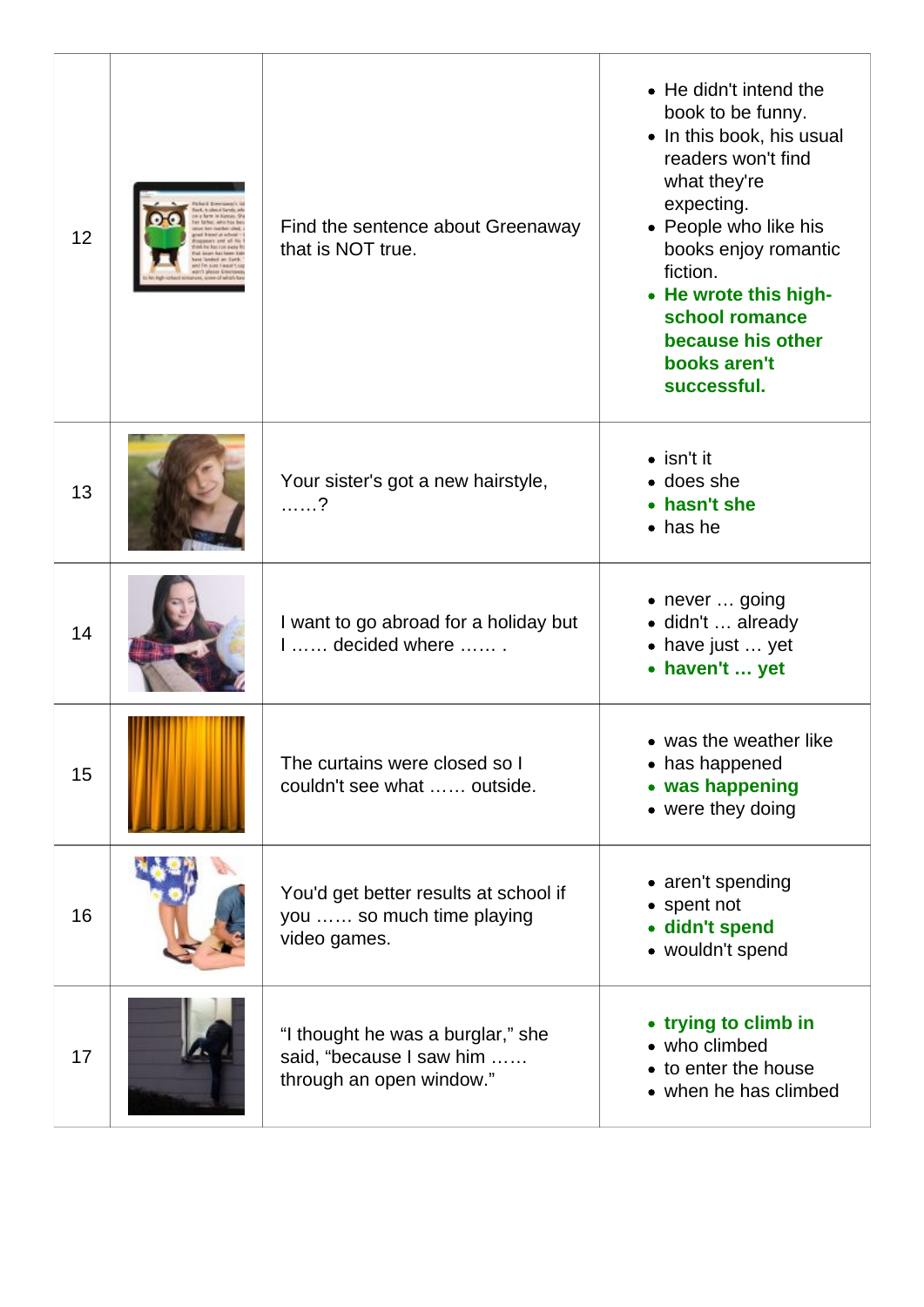| 12 | Find the sentence about Greenaway<br>that is NOT true.                                    | • He didn't intend the<br>book to be funny.<br>• In this book, his usual<br>readers won't find<br>what they're<br>expecting.<br>• People who like his<br>books enjoy romantic<br>fiction.<br>• He wrote this high-<br>school romance<br>because his other<br>books aren't<br>successful. |
|----|-------------------------------------------------------------------------------------------|------------------------------------------------------------------------------------------------------------------------------------------------------------------------------------------------------------------------------------------------------------------------------------------|
| 13 | Your sister's got a new hairstyle,<br>. ?                                                 | $\bullet$ isn't it<br>• does she<br>• hasn't she<br>$\bullet$ has he                                                                                                                                                                                                                     |
| 14 | I want to go abroad for a holiday but<br>$1, \ldots$ , decided where $\ldots$ ,           | • never  going<br>· didn't  already<br>• have just  yet<br>• haven't  yet                                                                                                                                                                                                                |
| 15 | The curtains were closed so I<br>couldn't see what  outside.                              | • was the weather like<br>• has happened<br>• was happening<br>• were they doing                                                                                                                                                                                                         |
| 16 | You'd get better results at school if<br>you  so much time playing<br>video games.        | • aren't spending<br>• spent not<br>· didn't spend<br>• wouldn't spend                                                                                                                                                                                                                   |
| 17 | "I thought he was a burglar," she<br>said, "because I saw him<br>through an open window." | • trying to climb in<br>• who climbed<br>• to enter the house<br>• when he has climbed                                                                                                                                                                                                   |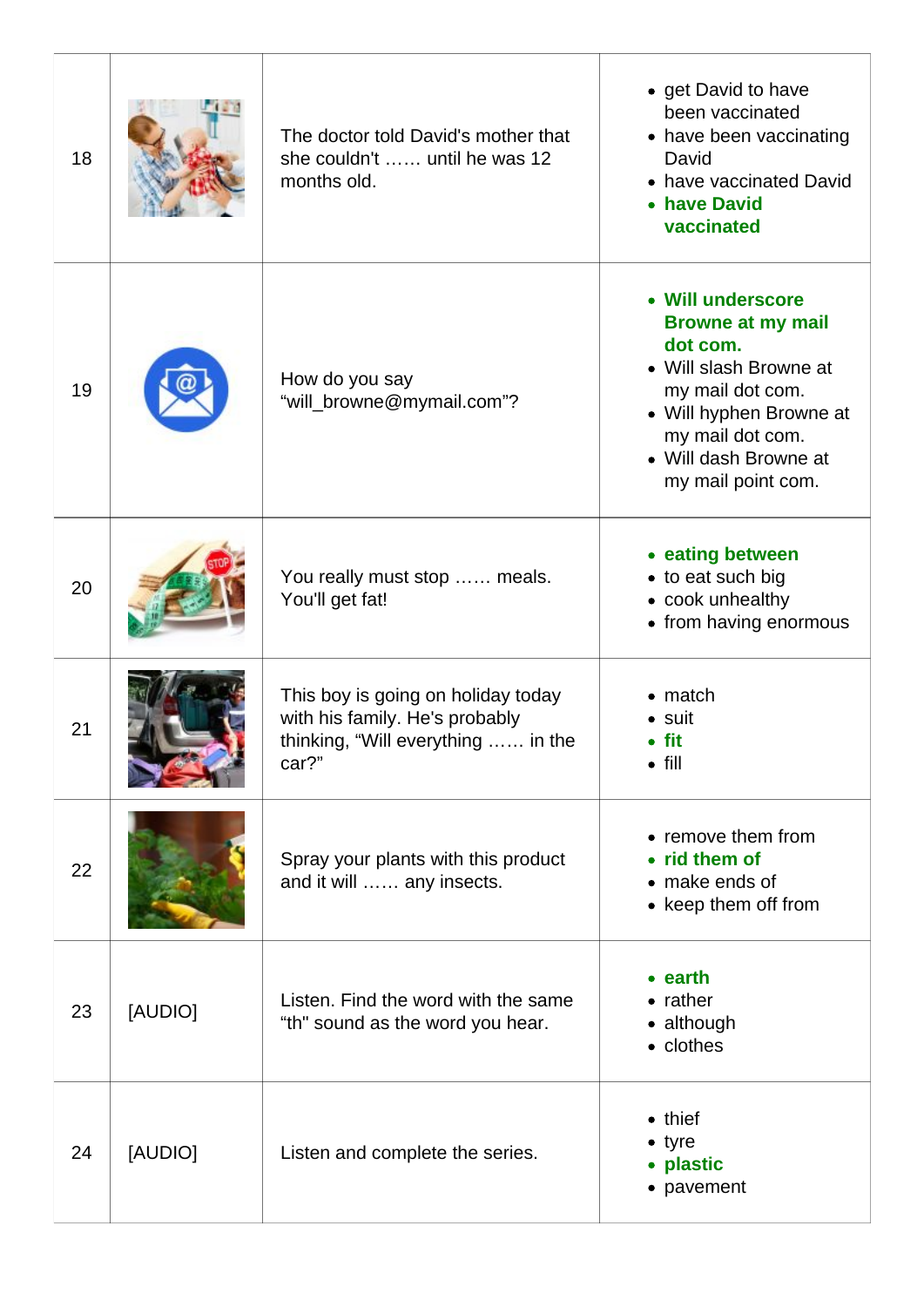| 18 |         | The doctor told David's mother that<br>she couldn't  until he was 12<br>months old.                                 | • get David to have<br>been vaccinated<br>• have been vaccinating<br>David<br>• have vaccinated David<br>• have David<br>vaccinated                                                                   |
|----|---------|---------------------------------------------------------------------------------------------------------------------|-------------------------------------------------------------------------------------------------------------------------------------------------------------------------------------------------------|
| 19 |         | How do you say<br>"will_browne@mymail.com"?                                                                         | • Will underscore<br><b>Browne at my mail</b><br>dot com.<br>• Will slash Browne at<br>my mail dot com.<br>• Will hyphen Browne at<br>my mail dot com.<br>• Will dash Browne at<br>my mail point com. |
| 20 |         | You really must stop  meals.<br>You'll get fat!                                                                     | • eating between<br>• to eat such big<br>• cook unhealthy<br>• from having enormous                                                                                                                   |
| 21 |         | This boy is going on holiday today<br>with his family. He's probably<br>thinking, "Will everything  in the<br>car?" | $\bullet$ match<br>• suit<br>$\bullet$ fit<br>$\bullet$ fill                                                                                                                                          |
| 22 |         | Spray your plants with this product<br>and it will  any insects.                                                    | • remove them from<br>• rid them of<br>• make ends of<br>• keep them off from                                                                                                                         |
| 23 | [AUDIO] | Listen. Find the word with the same<br>"th" sound as the word you hear.                                             | $\bullet$ earth<br>$\bullet$ rather<br>• although<br>• clothes                                                                                                                                        |
| 24 | [AUDIO] | Listen and complete the series.                                                                                     | $\bullet$ thief<br>$\bullet$ tyre<br>• plastic<br>• pavement                                                                                                                                          |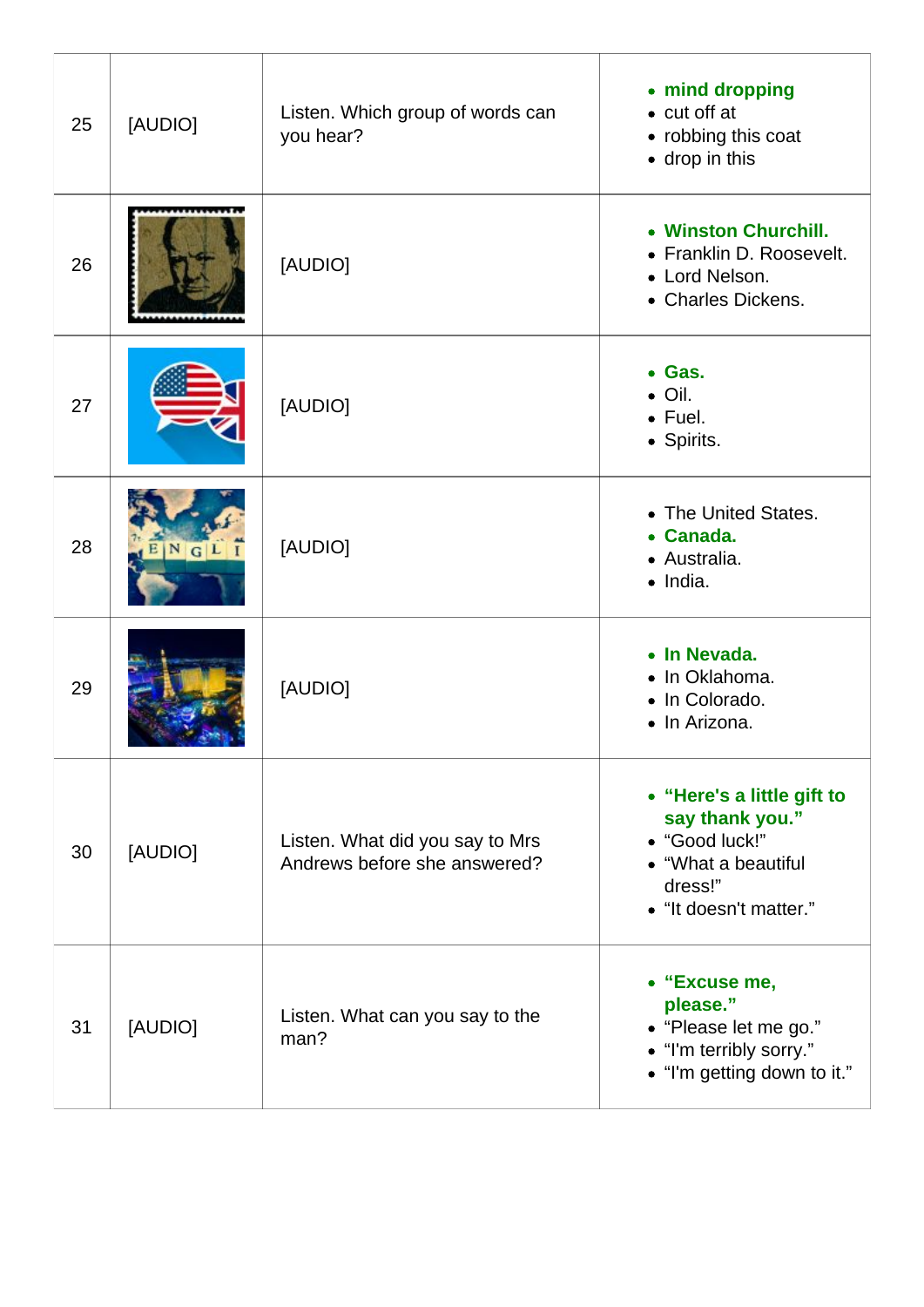| 25 | [AUDIO]         | Listen. Which group of words can<br>you hear?                   | • mind dropping<br>$\bullet$ cut off at<br>• robbing this coat<br>• drop in this                                            |
|----|-----------------|-----------------------------------------------------------------|-----------------------------------------------------------------------------------------------------------------------------|
| 26 |                 | [AUDIO]                                                         | • Winston Churchill.<br>• Franklin D. Roosevelt.<br>• Lord Nelson.<br>• Charles Dickens.                                    |
| 27 |                 | [AUDIO]                                                         | • Gas.<br>$\bullet$ Oil.<br>$\bullet$ Fuel.<br>• Spirits.                                                                   |
| 28 | $N$ $G$ $L$ $I$ | [AUDIO]                                                         | • The United States.<br>Canada.<br>$\bullet$<br>• Australia.<br>$\bullet$ India.                                            |
| 29 |                 | [AUDIO]                                                         | • In Nevada.<br>• In Oklahoma.<br>• In Colorado.<br>• In Arizona.                                                           |
| 30 | [AUDIO]         | Listen. What did you say to Mrs<br>Andrews before she answered? | • "Here's a little gift to<br>say thank you."<br>• "Good luck!"<br>• "What a beautiful<br>dress!"<br>• "It doesn't matter." |
| 31 | [AUDIO]         | Listen. What can you say to the<br>man?                         | • "Excuse me,<br>please."<br>• "Please let me go."<br>• "I'm terribly sorry."<br>• "I'm getting down to it."                |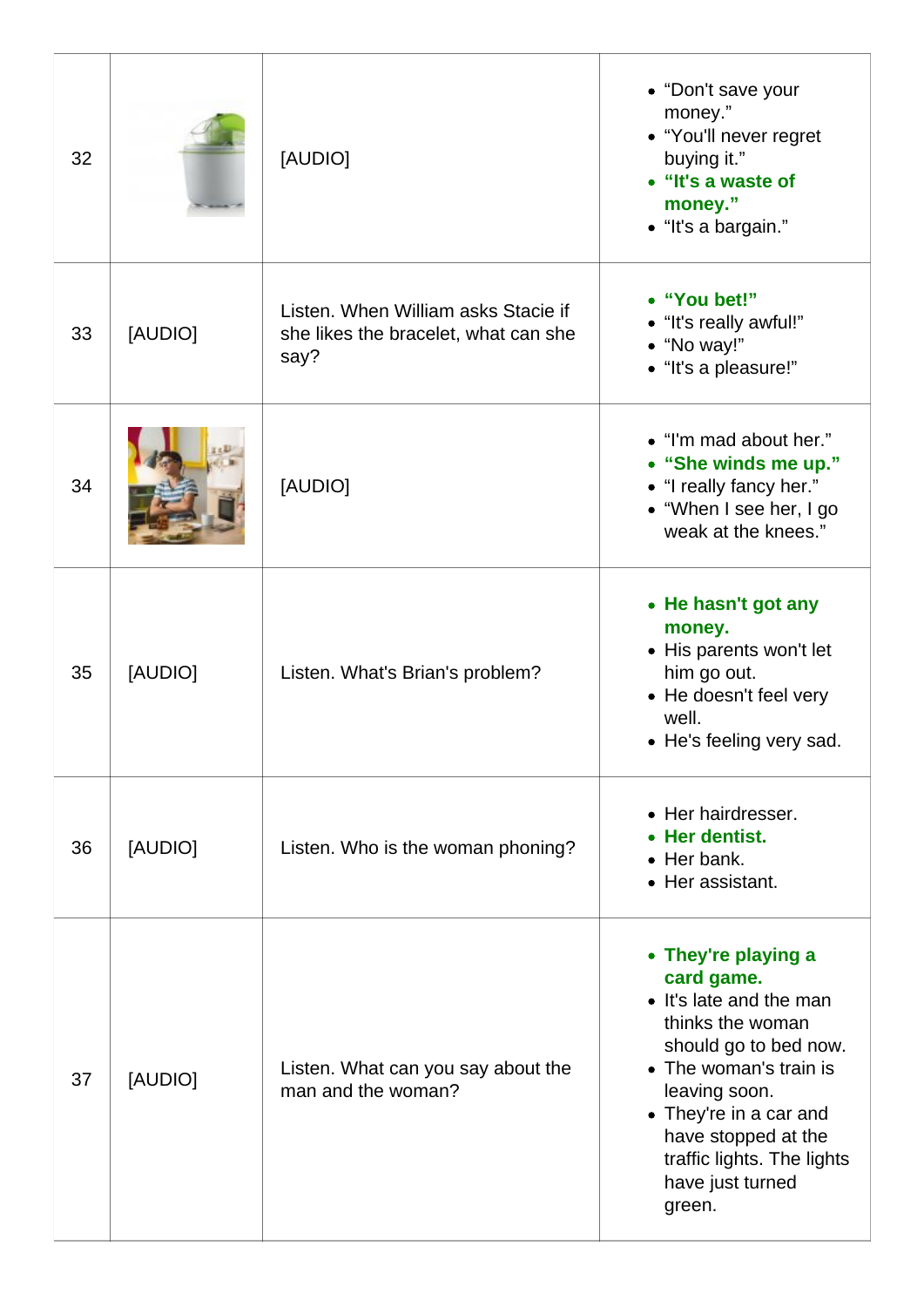| 32 |         | [AUDIO]                                                                             | • "Don't save your<br>money."<br>• "You'll never regret<br>buying it."<br>• "It's a waste of<br>money."<br>• "It's a bargain."                                                                                                                                    |
|----|---------|-------------------------------------------------------------------------------------|-------------------------------------------------------------------------------------------------------------------------------------------------------------------------------------------------------------------------------------------------------------------|
| 33 | [AUDIO] | Listen. When William asks Stacie if<br>she likes the bracelet, what can she<br>say? | • "You bet!"<br>• "It's really awful!"<br>• "No way!"<br>• "It's a pleasure!"                                                                                                                                                                                     |
| 34 |         | [AUDIO]                                                                             | • "I'm mad about her."<br>• "She winds me up."<br>• "I really fancy her."<br>• "When I see her, I go<br>weak at the knees."                                                                                                                                       |
| 35 | [AUDIO] | Listen. What's Brian's problem?                                                     | • He hasn't got any<br>money.<br>• His parents won't let<br>him go out.<br>• He doesn't feel very<br>well.<br>• He's feeling very sad.                                                                                                                            |
| 36 | [AUDIO] | Listen. Who is the woman phoning?                                                   | • Her hairdresser.<br>Her dentist.<br>$\bullet$ Her bank.<br>• Her assistant.                                                                                                                                                                                     |
| 37 | [AUDIO] | Listen. What can you say about the<br>man and the woman?                            | • They're playing a<br>card game.<br>• It's late and the man<br>thinks the woman<br>should go to bed now.<br>• The woman's train is<br>leaving soon.<br>• They're in a car and<br>have stopped at the<br>traffic lights. The lights<br>have just turned<br>green. |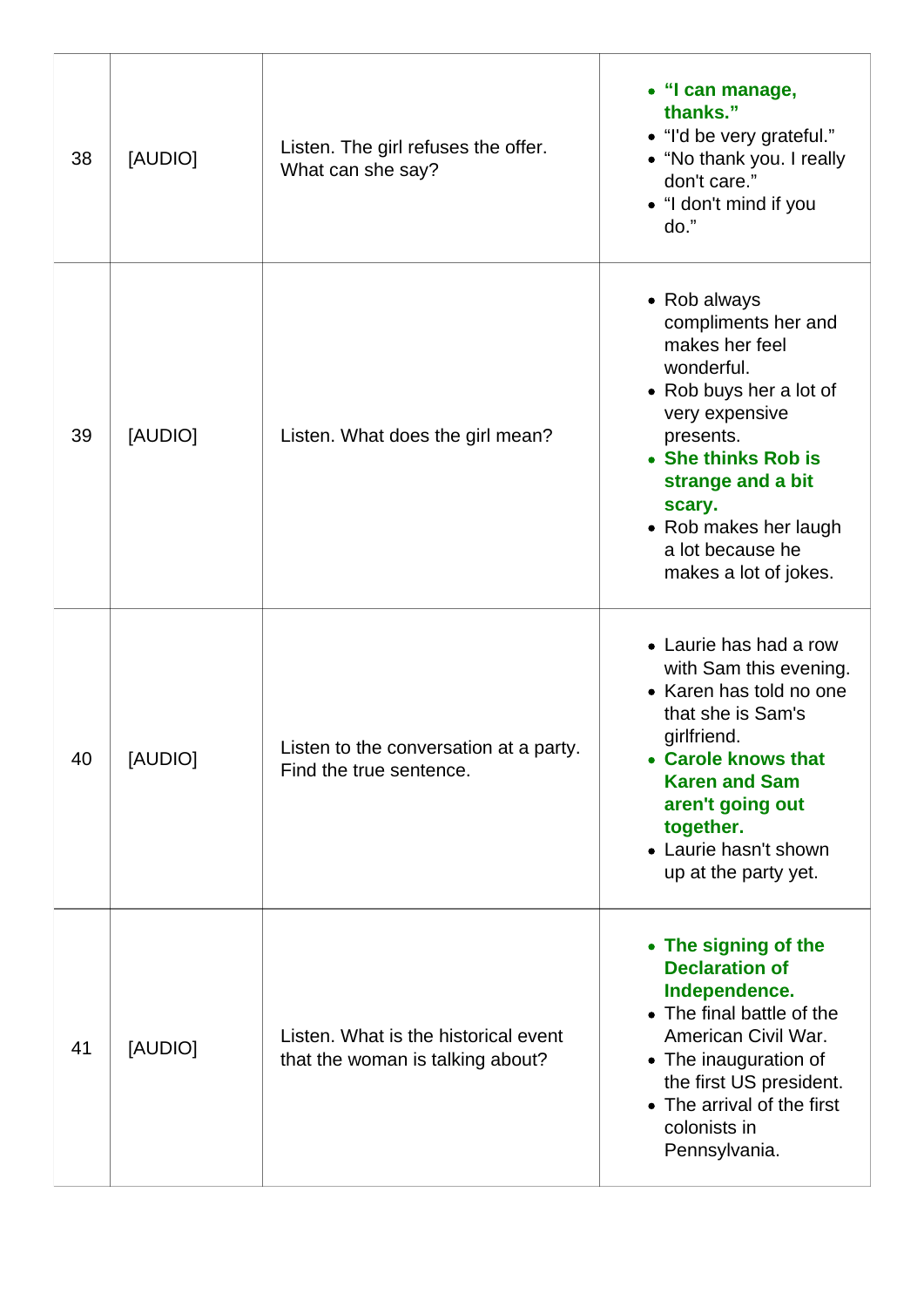| 38 | [AUDIO] | Listen. The girl refuses the offer.<br>What can she say?                 | • "I can manage,<br>thanks."<br>• "I'd be very grateful."<br>• "No thank you. I really<br>don't care."<br>• "I don't mind if you<br>do."                                                                                                                  |
|----|---------|--------------------------------------------------------------------------|-----------------------------------------------------------------------------------------------------------------------------------------------------------------------------------------------------------------------------------------------------------|
| 39 | [AUDIO] | Listen. What does the girl mean?                                         | • Rob always<br>compliments her and<br>makes her feel<br>wonderful.<br>• Rob buys her a lot of<br>very expensive<br>presents.<br>• She thinks Rob is<br>strange and a bit<br>scary.<br>• Rob makes her laugh<br>a lot because he<br>makes a lot of jokes. |
| 40 | [AUDIO] | Listen to the conversation at a party.<br>Find the true sentence.        | • Laurie has had a row<br>with Sam this evening.<br>• Karen has told no one<br>that she is Sam's<br>girlfriend.<br><b>Carole knows that</b><br><b>Karen and Sam</b><br>aren't going out<br>together.<br>• Laurie hasn't shown<br>up at the party yet.     |
| 41 | [AUDIO] | Listen. What is the historical event<br>that the woman is talking about? | • The signing of the<br><b>Declaration of</b><br>Independence.<br>• The final battle of the<br>American Civil War.<br>• The inauguration of<br>the first US president.<br>• The arrival of the first<br>colonists in<br>Pennsylvania.                     |